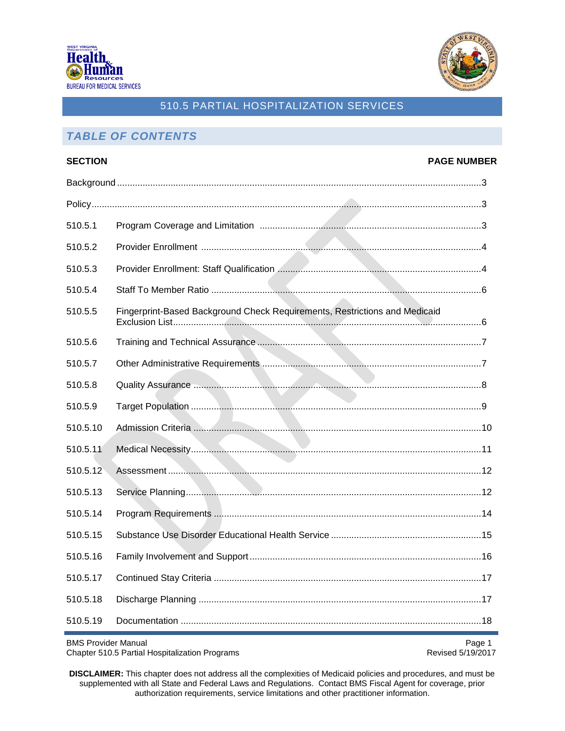



# *TABLE OF CONTENTS*

| <b>SECTION</b> |                                                                                  | <b>PAGE NUMBER</b> |
|----------------|----------------------------------------------------------------------------------|--------------------|
|                |                                                                                  |                    |
|                |                                                                                  |                    |
| 510.5.1        |                                                                                  |                    |
| 510.5.2        |                                                                                  |                    |
| 510.5.3        |                                                                                  |                    |
| 510.5.4        |                                                                                  |                    |
| 510.5.5        | Fingerprint-Based Background Check Requirements, Restrictions and Medicaid       |                    |
| 510.5.6        |                                                                                  |                    |
| 510.5.7        |                                                                                  |                    |
| 510.5.8        | Quality Assurance <b>Manual Manual Community of the Community of Assurance</b> 8 |                    |
| 510.5.9        |                                                                                  |                    |
| 510.5.10       |                                                                                  |                    |
| 510.5.11       |                                                                                  |                    |
| 510.5.12       |                                                                                  |                    |
| 510.5.13       |                                                                                  |                    |
| 510.5.14       |                                                                                  |                    |
| 510.5.15       |                                                                                  |                    |
| 510.5.16       |                                                                                  |                    |
| 510.5.17       |                                                                                  |                    |
| 510.5.18       |                                                                                  |                    |
| 510.5.19       |                                                                                  |                    |

BMS Provider Manual Page 1<br>Chapter 510.5 Partial Hospitalization Programs entitled and the extra service of the Revised 5/19/2017 Chapter 510.5 Partial Hospitalization Programs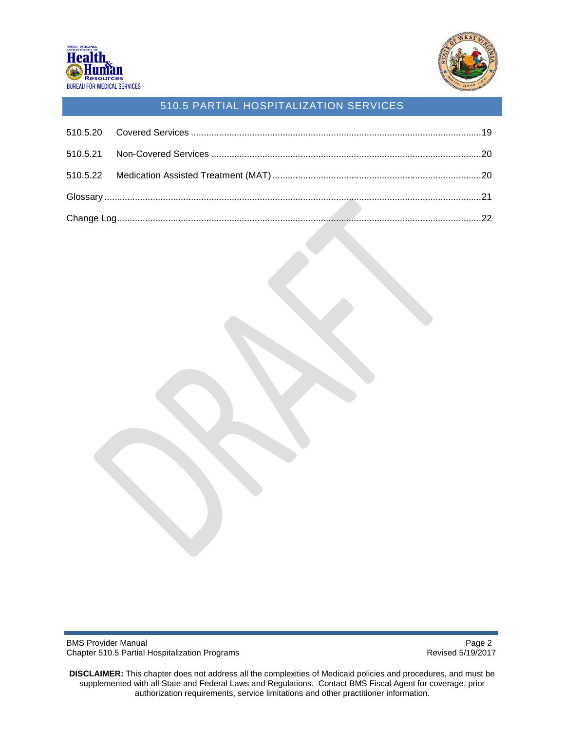



BMS Provider Manual Page 2<br>Chapter 510.5 Partial Hospitalization Programs example and the extra service of the Revised 5/19/2017 Chapter 510.5 Partial Hospitalization Programs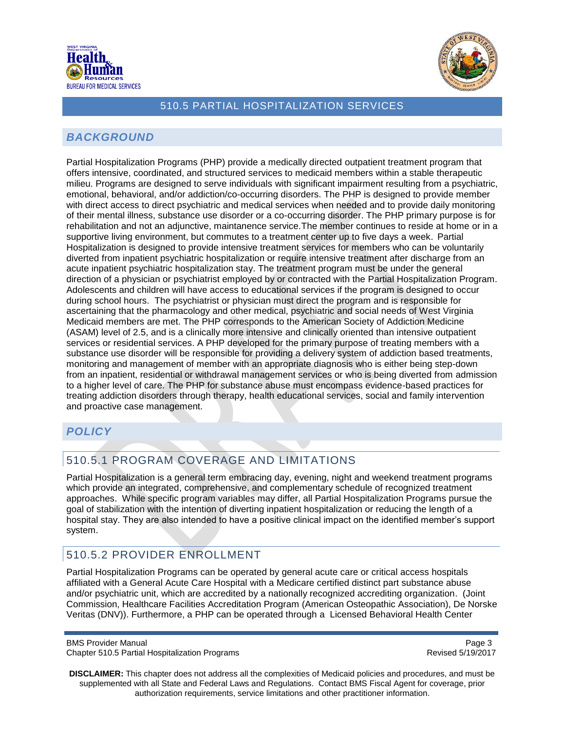



### <span id="page-2-0"></span>*BACKGROUND*

Partial Hospitalization Programs (PHP) provide a medically directed outpatient treatment program that offers intensive, coordinated, and structured services to medicaid members within a stable therapeutic milieu. Programs are designed to serve individuals with significant impairment resulting from a psychiatric, emotional, behavioral, and/or addiction/co-occurring disorders. The PHP is designed to provide member with direct access to direct psychiatric and medical services when needed and to provide daily monitoring of their mental illness, substance use disorder or a co-occurring disorder. The PHP primary purpose is for rehabilitation and not an adjunctive, maintanence service.The member continues to reside at home or in a supportive living environment, but commutes to a treatment center up to five days a week. Partial Hospitalization is designed to provide intensive treatment services for members who can be voluntarily diverted from inpatient psychiatric hospitalization or require intensive treatment after discharge from an acute inpatient psychiatric hospitalization stay. The treatment program must be under the general direction of a physician or psychiatrist employed by or contracted with the Partial Hospitalization Program. Adolescents and children will have access to educational services if the program is designed to occur during school hours. The psychiatrist or physician must direct the program and is responsible for ascertaining that the pharmacology and other medical, psychiatric and social needs of West Virginia Medicaid members are met. The PHP corresponds to the American Society of Addiction Medicine (ASAM) level of 2.5, and is a clinically more intensive and clinically oriented than intensive outpatient services or residential services. A PHP developed for the primary purpose of treating members with a substance use disorder will be responsible for providing a delivery system of addiction based treatments, monitoring and management of member with an appropriate diagnosis who is either being step-down from an inpatient, residential or withdrawal management services or who is being diverted from admission to a higher level of care. The PHP for substance abuse must encompass evidence-based practices for treating addiction disorders through therapy, health educational services, social and family intervention and proactive case management.

# <span id="page-2-1"></span>*POLICY*

# <span id="page-2-2"></span>510.5.1 PROGRAM COVERAGE AND LIMITATIONS

Partial Hospitalization is a general term embracing day, evening, night and weekend treatment programs which provide an integrated, comprehensive, and complementary schedule of recognized treatment approaches. While specific program variables may differ, all Partial Hospitalization Programs pursue the goal of stabilization with the intention of diverting inpatient hospitalization or reducing the length of a hospital stay. They are also intended to have a positive clinical impact on the identified member's support system.

# <span id="page-2-3"></span>510.5.2 PROVIDER ENROLLMENT

Partial Hospitalization Programs can be operated by general acute care or critical access hospitals affiliated with a General Acute Care Hospital with a Medicare certified distinct part substance abuse and/or psychiatric unit, which are accredited by a nationally recognized accrediting organization. (Joint Commission, Healthcare Facilities Accreditation Program (American Osteopathic Association), De Norske Veritas (DNV)). Furthermore, a PHP can be operated through a Licensed Behavioral Health Center

BMS Provider Manual **Page 3** and the state of the state of the state of the state of the state of the state of the state of the state of the state of the state of the state of the state of the state of the state of the sta Chapter 510.5 Partial Hospitalization Programs **Revised 5/19/2017** Revised 5/19/2017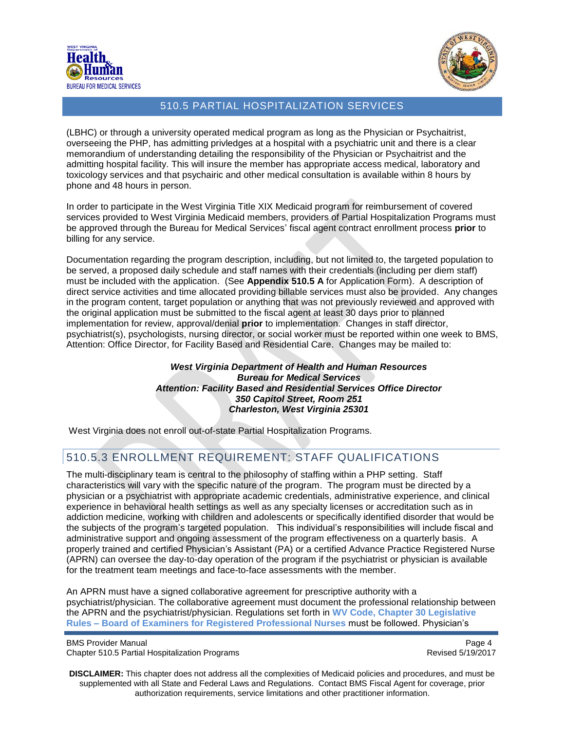



(LBHC) or through a university operated medical program as long as the Physician or Psychaitrist, overseeing the PHP, has admitting privledges at a hospital with a psychiatric unit and there is a clear memorandium of understanding detailing the responsibility of the Physician or Psychaitrist and the admitting hospital facility. This will insure the member has appropriate access medical, laboratory and toxicology services and that psychairic and other medical consultation is available within 8 hours by phone and 48 hours in person.

In order to participate in the West Virginia Title XIX Medicaid program for reimbursement of covered services provided to West Virginia Medicaid members, providers of Partial Hospitalization Programs must be approved through the Bureau for Medical Services' fiscal agent contract enrollment process **prior** to billing for any service.

Documentation regarding the program description, including, but not limited to, the targeted population to be served, a proposed daily schedule and staff names with their credentials (including per diem staff) must be included with the application. (See **Appendix 510.5 A** for Application Form). A description of direct service activities and time allocated providing billable services must also be provided. Any changes in the program content, target population or anything that was not previously reviewed and approved with the original application must be submitted to the fiscal agent at least 30 days prior to planned implementation for review, approval/denial **prior** to implementation. Changes in staff director, psychiatrist(s), psychologists, nursing director, or social worker must be reported within one week to BMS, Attention: Office Director, for Facility Based and Residential Care. Changes may be mailed to:

> *West Virginia Department of Health and Human Resources Bureau for Medical Services Attention: Facility Based and Residential Services Office Director 350 Capitol Street, Room 251 Charleston, West Virginia 25301*

West Virginia does not enroll out-of-state Partial Hospitalization Programs.

# 510.5.3 ENROLLMENT REQUIREMENT: STAFF QUALIFICATIONS

The multi-disciplinary team is central to the philosophy of staffing within a PHP setting. Staff characteristics will vary with the specific nature of the program. The program must be directed by a physician or a psychiatrist with appropriate academic credentials, administrative experience, and clinical experience in behavioral health settings as well as any specialty licenses or accreditation such as in addiction medicine, working with children and adolescents or specifically identified disorder that would be the subjects of the program's targeted population. This individual's responsibilities will include fiscal and administrative support and ongoing assessment of the program effectiveness on a quarterly basis. A properly trained and certified Physician's Assistant (PA) or a certified Advance Practice Registered Nurse (APRN) can oversee the day-to-day operation of the program if the psychiatrist or physician is available for the treatment team meetings and face-to-face assessments with the member.

An APRN must have a signed collaborative agreement for prescriptive authority with a psychiatrist/physician. The collaborative agreement must document the professional relationship between the APRN and the psychiatrist/physician. Regulations set forth in **WV Code, Chapter 30 Legislative Rules – Board of Examiners for Registered Professional Nurses** must be followed. Physician's

BMS Provider Manual **Page 4** and the state of the state of the state of the state of the state of the state of the state of the state of the state of the state of the state of the state of the state of the state of the sta Chapter 510.5 Partial Hospitalization Programs **Revised 5/19/2017** Revised 5/19/2017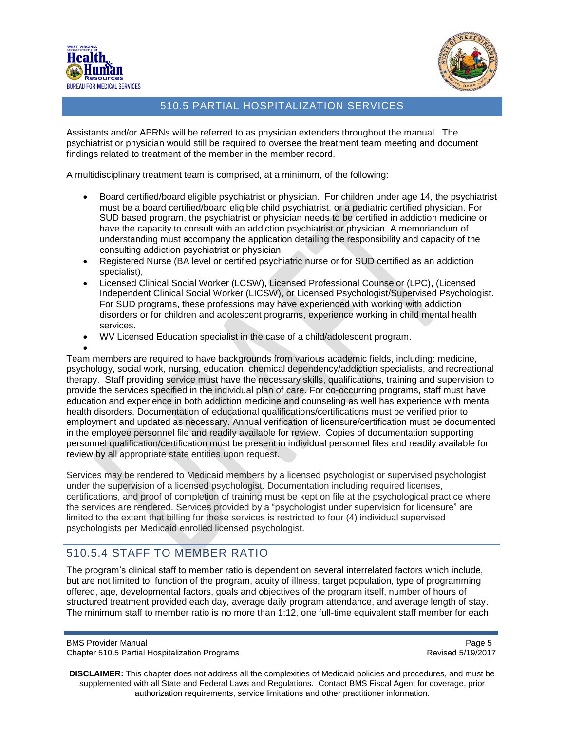



Assistants and/or APRNs will be referred to as physician extenders throughout the manual. The psychiatrist or physician would still be required to oversee the treatment team meeting and document findings related to treatment of the member in the member record.

A multidisciplinary treatment team is comprised, at a minimum, of the following:

- Board certified/board eligible psychiatrist or physician. For children under age 14, the psychiatrist must be a board certified/board eligible child psychiatrist, or a pediatric certified physician. For SUD based program, the psychiatrist or physician needs to be certified in addiction medicine or have the capacity to consult with an addiction psychiatrist or physician. A memoriandum of understanding must accompany the application detailing the responsibility and capacity of the consulting addiction psychiatrist or physician.
- Registered Nurse (BA level or certified psychiatric nurse or for SUD certified as an addiction specialist),
- Licensed Clinical Social Worker (LCSW), Licensed Professional Counselor (LPC), (Licensed Independent Clinical Social Worker (LICSW), or Licensed Psychologist/Supervised Psychologist. For SUD programs, these professions may have experienced with working with addiction disorders or for children and adolescent programs, experience working in child mental health services.
- WV Licensed Education specialist in the case of a child/adolescent program.

• Team members are required to have backgrounds from various academic fields, including: medicine, psychology, social work, nursing, education, chemical dependency/addiction specialists, and recreational therapy. Staff providing service must have the necessary skills, qualifications, training and supervision to provide the services specified in the individual plan of care. For co-occurring programs, staff must have education and experience in both addiction medicine and counseling as well has experience with mental health disorders. Documentation of educational qualifications/certifications must be verified prior to employment and updated as necessary. Annual verification of licensure/certification must be documented in the employee personnel file and readily available for review. Copies of documentation supporting personnel qualification/certification must be present in individual personnel files and readily available for review by all appropriate state entities upon request.

Services may be rendered to Medicaid members by a licensed psychologist or supervised psychologist under the supervision of a licensed psychologist. Documentation including required licenses, certifications, and proof of completion of training must be kept on file at the psychological practice where the services are rendered. Services provided by a "psychologist under supervision for licensure" are limited to the extent that billing for these services is restricted to four (4) individual supervised psychologists per Medicaid enrolled licensed psychologist.

# <span id="page-4-0"></span>510.5.4 STAFF TO MEMBER RATIO

The program's clinical staff to member ratio is dependent on several interrelated factors which include, but are not limited to: function of the program, acuity of illness, target population, type of programming offered, age, developmental factors, goals and objectives of the program itself, number of hours of structured treatment provided each day, average daily program attendance, and average length of stay. The minimum staff to member ratio is no more than 1:12, one full-time equivalent staff member for each

BMS Provider Manual **Page 5** and the state of the state of the state of the state of the state of the state of the state of the state of the state of the state of the state of the state of the state of the state of the sta Chapter 510.5 Partial Hospitalization Programs **Revised 5/19/2017** Revised 5/19/2017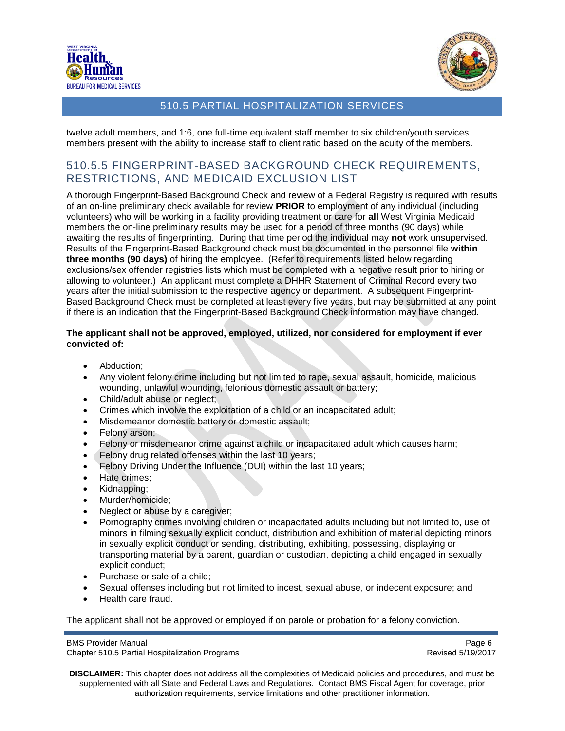



twelve adult members, and 1:6, one full-time equivalent staff member to six children/youth services members present with the ability to increase staff to client ratio based on the acuity of the members.

### <span id="page-5-0"></span>510.5.5 FINGERPRINT-BASED BACKGROUND CHECK REQUIREMENTS, RESTRICTIONS, AND MEDICAID EXCLUSION LIST

A thorough Fingerprint-Based Background Check and review of a Federal Registry is required with results of an on-line preliminary check available for review **PRIOR** to employment of any individual (including volunteers) who will be working in a facility providing treatment or care for **all** West Virginia Medicaid members the on-line preliminary results may be used for a period of three months (90 days) while awaiting the results of fingerprinting. During that time period the individual may **not** work unsupervised. Results of the Fingerprint-Based Background check must be documented in the personnel file **within three months (90 days)** of hiring the employee. (Refer to requirements listed below regarding exclusions/sex offender registries lists which must be completed with a negative result prior to hiring or allowing to volunteer.) An applicant must complete a DHHR Statement of Criminal Record every two years after the initial submission to the respective agency or department. A subsequent Fingerprint-Based Background Check must be completed at least every five years, but may be submitted at any point if there is an indication that the Fingerprint-Based Background Check information may have changed.

#### **The applicant shall not be approved, employed, utilized, nor considered for employment if ever convicted of:**

- Abduction:
- Any violent felony crime including but not limited to rape, sexual assault, homicide, malicious wounding, unlawful wounding, felonious domestic assault or battery;
- Child/adult abuse or neglect;
- Crimes which involve the exploitation of a child or an incapacitated adult;
- Misdemeanor domestic battery or domestic assault;
- Felony arson;
- Felony or misdemeanor crime against a child or incapacitated adult which causes harm;
- Felony drug related offenses within the last 10 years;
- Felony Driving Under the Influence (DUI) within the last 10 years;
- Hate crimes;
- Kidnapping;
- Murder/homicide;
- Neglect or abuse by a caregiver;
- Pornography crimes involving children or incapacitated adults including but not limited to, use of minors in filming sexually explicit conduct, distribution and exhibition of material depicting minors in sexually explicit conduct or sending, distributing, exhibiting, possessing, displaying or transporting material by a parent, guardian or custodian, depicting a child engaged in sexually explicit conduct;
- Purchase or sale of a child;
- Sexual offenses including but not limited to incest, sexual abuse, or indecent exposure; and
- Health care fraud.

The applicant shall not be approved or employed if on parole or probation for a felony conviction.

BMS Provider Manual **Page 6** and the state of the state of the state of the state of the state of the state of the state of the state of the state of the state of the state of the state of the state of the state of the sta

Chapter 510.5 Partial Hospitalization Programs **Revised 5/19/2017** Revised 5/19/2017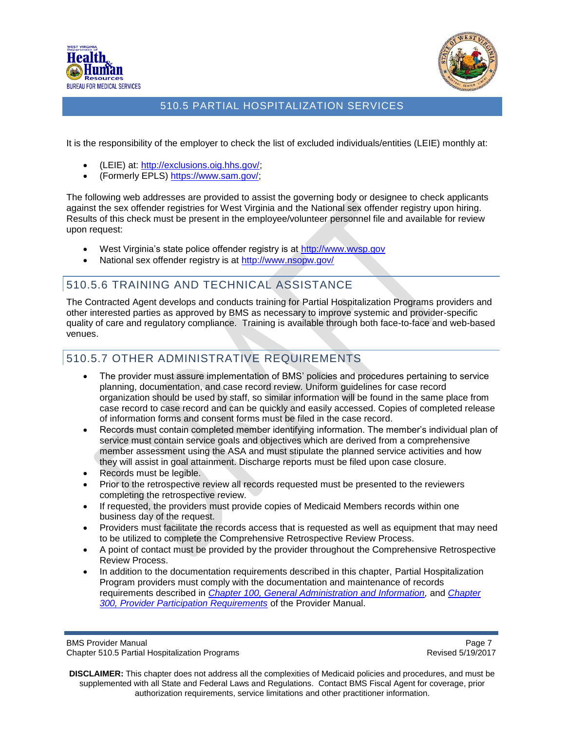



It is the responsibility of the employer to check the list of excluded individuals/entities (LEIE) monthly at:

- (LEIE) at: [http://exclusions.oig.hhs.gov/;](http://exclusions.oig.hhs.gov/)
- (Formerly EPLS) [https://www.sam.gov/;](https://www.sam.gov/)

The following web addresses are provided to assist the governing body or designee to check applicants against the sex offender registries for West Virginia and the National sex offender registry upon hiring. Results of this check must be present in the employee/volunteer personnel file and available for review upon request:

- West Virginia's state police offender registry is at [http://www.wvsp.gov](http://www.wvsp.gov/)
- National sex offender registry is at<http://www.nsopw.gov/>

# 510.5.6 TRAINING AND TECHNICAL ASSISTANCE

The Contracted Agent develops and conducts training for Partial Hospitalization Programs providers and other interested parties as approved by BMS as necessary to improve systemic and provider-specific quality of care and regulatory compliance. Training is available through both face-to-face and web-based venues.

### 510.5.7 OTHER ADMINISTRATIVE REQUIREMENTS

- The provider must assure implementation of BMS' policies and procedures pertaining to service planning, documentation, and case record review. Uniform guidelines for case record organization should be used by staff, so similar information will be found in the same place from case record to case record and can be quickly and easily accessed. Copies of completed release of information forms and consent forms must be filed in the case record.
- Records must contain completed member identifying information. The member's individual plan of service must contain service goals and objectives which are derived from a comprehensive member assessment using the ASA and must stipulate the planned service activities and how they will assist in goal attainment. Discharge reports must be filed upon case closure.
- Records must be legible.
- Prior to the retrospective review all records requested must be presented to the reviewers completing the retrospective review.
- If requested, the providers must provide copies of Medicaid Members records within one business day of the request.
- Providers must facilitate the records access that is requested as well as equipment that may need to be utilized to complete the Comprehensive Retrospective Review Process.
- A point of contact must be provided by the provider throughout the Comprehensive Retrospective Review Process.
- In addition to the documentation requirements described in this chapter, Partial Hospitalization Program providers must comply with the documentation and maintenance of records requirements described in *[Chapter 100, General Administration and Information,](http://www.dhhr.wv.gov/bms/Pages/ProviderManuals.aspx)* and *[Chapter](http://www.dhhr.wv.gov/bms/Pages/ProviderManuals.aspx)  [300, Provider Participation Requirements](http://www.dhhr.wv.gov/bms/Pages/ProviderManuals.aspx)* of the Provider Manual.

BMS Provider Manual **Page 7** and the extent of the extent of the extent of the extent of the extent of the extent of the extent of the extent of the extent of the extent of the extent of the extent of the extent of the ext Chapter 510.5 Partial Hospitalization Programs **Revised 5/19/2017** Revised 5/19/2017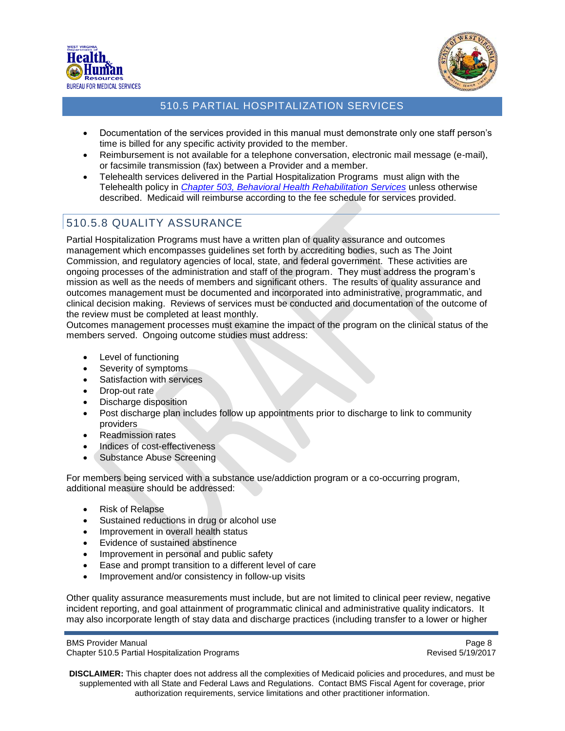



- Documentation of the services provided in this manual must demonstrate only one staff person's time is billed for any specific activity provided to the member.
- Reimbursement is not available for a telephone conversation, electronic mail message (e-mail), or facsimile transmission (fax) between a Provider and a member.
- Telehealth services delivered in the Partial Hospitalization Programs must align with the Telehealth policy in *[Chapter 503, Behavioral Health Rehabilitation Services](http://www.dhhr.wv.gov/bms/Pages/ProviderManuals.aspx)* unless otherwise described. Medicaid will reimburse according to the fee schedule for services provided.

# <span id="page-7-0"></span>510.5.8 QUALITY ASSURANCE

Partial Hospitalization Programs must have a written plan of quality assurance and outcomes management which encompasses guidelines set forth by accrediting bodies, such as The Joint Commission, and regulatory agencies of local, state, and federal government. These activities are ongoing processes of the administration and staff of the program. They must address the program's mission as well as the needs of members and significant others. The results of quality assurance and outcomes management must be documented and incorporated into administrative, programmatic, and clinical decision making. Reviews of services must be conducted and documentation of the outcome of the review must be completed at least monthly.

Outcomes management processes must examine the impact of the program on the clinical status of the members served. Ongoing outcome studies must address:

- Level of functioning
- Severity of symptoms
- Satisfaction with services
- Drop-out rate
- Discharge disposition
- Post discharge plan includes follow up appointments prior to discharge to link to community providers
- Readmission rates
- Indices of cost-effectiveness
- Substance Abuse Screening

For members being serviced with a substance use/addiction program or a co-occurring program, additional measure should be addressed:

- Risk of Relapse
- Sustained reductions in drug or alcohol use
- Improvement in overall health status
- Evidence of sustained abstinence
- Improvement in personal and public safety
- Ease and prompt transition to a different level of care
- Improvement and/or consistency in follow-up visits

Other quality assurance measurements must include, but are not limited to clinical peer review, negative incident reporting, and goal attainment of programmatic clinical and administrative quality indicators. It may also incorporate length of stay data and discharge practices (including transfer to a lower or higher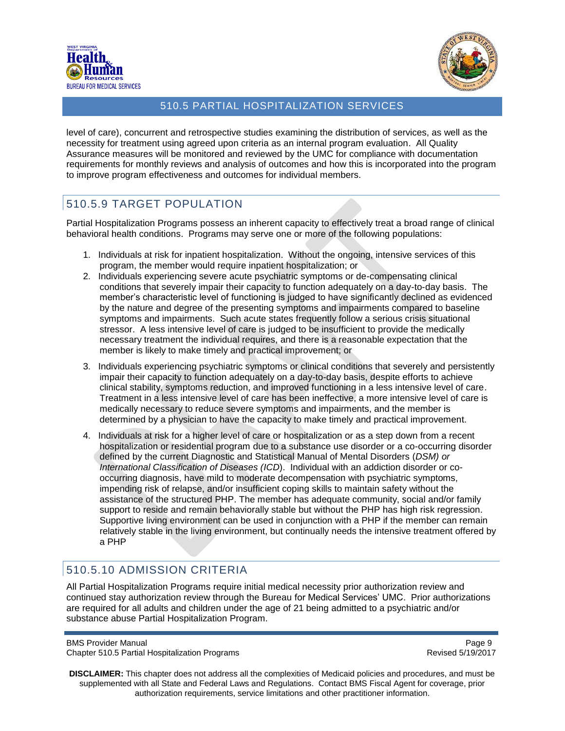



level of care), concurrent and retrospective studies examining the distribution of services, as well as the necessity for treatment using agreed upon criteria as an internal program evaluation. All Quality Assurance measures will be monitored and reviewed by the UMC for compliance with documentation requirements for monthly reviews and analysis of outcomes and how this is incorporated into the program to improve program effectiveness and outcomes for individual members.

### <span id="page-8-0"></span>510.5.9 TARGET POPULATION

Partial Hospitalization Programs possess an inherent capacity to effectively treat a broad range of clinical behavioral health conditions. Programs may serve one or more of the following populations:

- 1. Individuals at risk for inpatient hospitalization. Without the ongoing, intensive services of this program, the member would require inpatient hospitalization; or
- 2. Individuals experiencing severe acute psychiatric symptoms or de-compensating clinical conditions that severely impair their capacity to function adequately on a day-to-day basis. The member's characteristic level of functioning is judged to have significantly declined as evidenced by the nature and degree of the presenting symptoms and impairments compared to baseline symptoms and impairments. Such acute states frequently follow a serious crisis situational stressor. A less intensive level of care is judged to be insufficient to provide the medically necessary treatment the individual requires, and there is a reasonable expectation that the member is likely to make timely and practical improvement; or
- 3. Individuals experiencing psychiatric symptoms or clinical conditions that severely and persistently impair their capacity to function adequately on a day-to-day basis, despite efforts to achieve clinical stability, symptoms reduction, and improved functioning in a less intensive level of care. Treatment in a less intensive level of care has been ineffective, a more intensive level of care is medically necessary to reduce severe symptoms and impairments, and the member is determined by a physician to have the capacity to make timely and practical improvement.
- 4. Individuals at risk for a higher level of care or hospitalization or as a step down from a recent hospitalization or residential program due to a substance use disorder or a co-occurring disorder defined by the current Diagnostic and Statistical Manual of Mental Disorders (*DSM) or International Classification of Diseases (ICD*). Individual with an addiction disorder or cooccurring diagnosis, have mild to moderate decompensation with psychiatric symptoms, impending risk of relapse, and/or insufficient coping skills to maintain safety without the assistance of the structured PHP. The member has adequate community, social and/or family support to reside and remain behaviorally stable but without the PHP has high risk regression. Supportive living environment can be used in conjunction with a PHP if the member can remain relatively stable in the living environment, but continually needs the intensive treatment offered by a PHP

# <span id="page-8-1"></span>510.5.10 ADMISSION CRITERIA

All Partial Hospitalization Programs require initial medical necessity prior authorization review and continued stay authorization review through the Bureau for Medical Services' UMC. Prior authorizations are required for all adults and children under the age of 21 being admitted to a psychiatric and/or substance abuse Partial Hospitalization Program.

BMS Provider Manual **Page 9** and 2008 **Page 9** and 2008 **Page 9** and 2008 **Page 9** and 2008 **Page 9** and 2008 **Page 9** Chapter 510.5 Partial Hospitalization Programs **Revised 5/19/2017** Revised 5/19/2017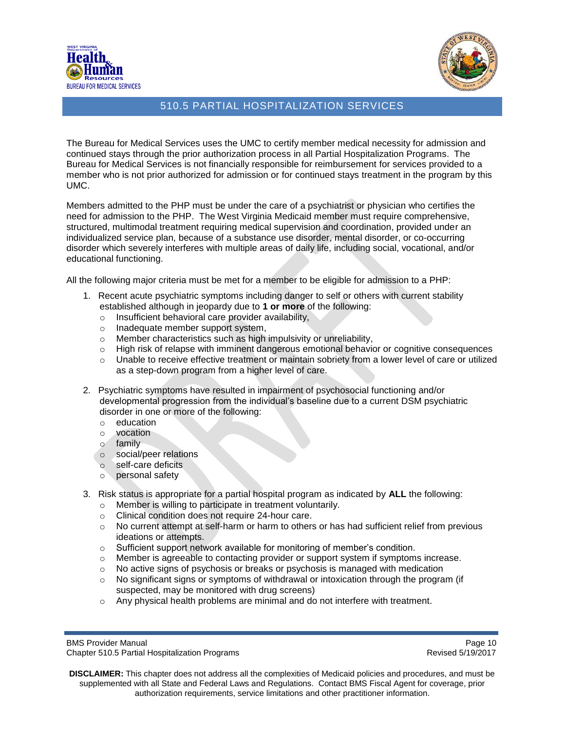



The Bureau for Medical Services uses the UMC to certify member medical necessity for admission and continued stays through the prior authorization process in all Partial Hospitalization Programs. The Bureau for Medical Services is not financially responsible for reimbursement for services provided to a member who is not prior authorized for admission or for continued stays treatment in the program by this UMC.

Members admitted to the PHP must be under the care of a psychiatrist or physician who certifies the need for admission to the PHP. The West Virginia Medicaid member must require comprehensive, structured, multimodal treatment requiring medical supervision and coordination, provided under an individualized service plan, because of a substance use disorder, mental disorder, or co-occurring disorder which severely interferes with multiple areas of daily life, including social, vocational, and/or educational functioning.

All the following major criteria must be met for a member to be eligible for admission to a PHP:

- 1. Recent acute psychiatric symptoms including danger to self or others with current stability established although in jeopardy due to **1 or more** of the following:
	- o Insufficient behavioral care provider availability,
	- o Inadequate member support system,
	- o Member characteristics such as high impulsivity or unreliability,
	- $\circ$  High risk of relapse with imminent dangerous emotional behavior or cognitive consequences
	- o Unable to receive effective treatment or maintain sobriety from a lower level of care or utilized as a step-down program from a higher level of care.
- 2. Psychiatric symptoms have resulted in impairment of psychosocial functioning and/or developmental progression from the individual's baseline due to a current DSM psychiatric disorder in one or more of the following:
	- o education
	- o vocation
	- $\frac{1}{2}$  family
	- o social/peer relations
	- o self-care deficits
	- o personal safety
- 3. Risk status is appropriate for a partial hospital program as indicated by **ALL** the following:
	- o Member is willing to participate in treatment voluntarily.
	- o Clinical condition does not require 24-hour care.
	- $\circ$  No current attempt at self-harm or harm to others or has had sufficient relief from previous ideations or attempts.
	- o Sufficient support network available for monitoring of member's condition.
	- $\circ$  Member is agreeable to contacting provider or support system if symptoms increase.
	- o No active signs of psychosis or breaks or psychosis is managed with medication
	- $\circ$  No significant signs or symptoms of withdrawal or intoxication through the program (if suspected, may be monitored with drug screens)
	- $\circ$  Any physical health problems are minimal and do not interfere with treatment.

BMS Provider Manual **Page 10** and the extent of the extent of the extent of the extent of the extent of the extent of the extent of the extent of the extent of the extent of the extent of the extent of the extent of the ex Chapter 510.5 Partial Hospitalization Programs **Revised 5/19/2017** Revised 5/19/2017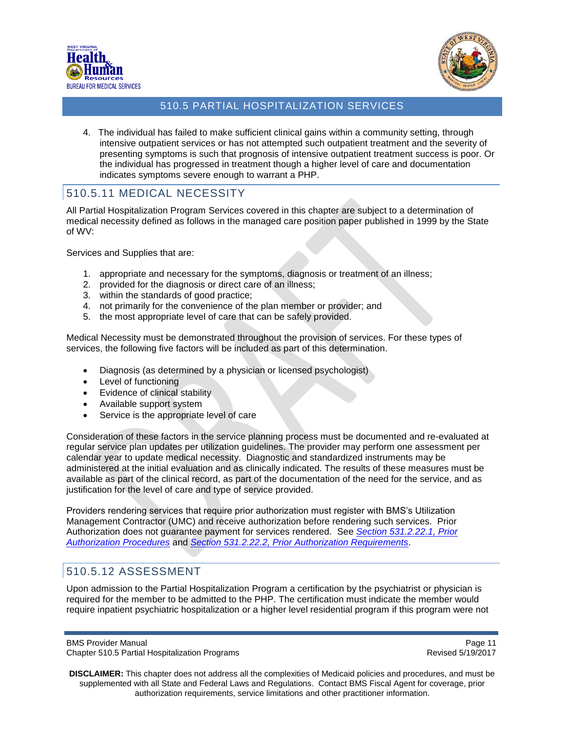



4. The individual has failed to make sufficient clinical gains within a community setting, through intensive outpatient services or has not attempted such outpatient treatment and the severity of presenting symptoms is such that prognosis of intensive outpatient treatment success is poor. Or the individual has progressed in treatment though a higher level of care and documentation indicates symptoms severe enough to warrant a PHP.

# 510.5.11 MEDICAL NECESSITY

All Partial Hospitalization Program Services covered in this chapter are subject to a determination of medical necessity defined as follows in the managed care position paper published in 1999 by the State of WV:

Services and Supplies that are:

- 1. appropriate and necessary for the symptoms, diagnosis or treatment of an illness;
- 2. provided for the diagnosis or direct care of an illness;
- 3. within the standards of good practice;
- 4. not primarily for the convenience of the plan member or provider; and
- 5. the most appropriate level of care that can be safely provided.

Medical Necessity must be demonstrated throughout the provision of services. For these types of services, the following five factors will be included as part of this determination.

- Diagnosis (as determined by a physician or licensed psychologist)
- Level of functioning
- Evidence of clinical stability
- Available support system
- Service is the appropriate level of care

Consideration of these factors in the service planning process must be documented and re-evaluated at regular service plan updates per utilization guidelines. The provider may perform one assessment per calendar year to update medical necessity. Diagnostic and standardized instruments may be administered at the initial evaluation and as clinically indicated. The results of these measures must be available as part of the clinical record, as part of the documentation of the need for the service, and as justification for the level of care and type of service provided.

Providers rendering services that require prior authorization must register with BMS's Utilization Management Contractor (UMC) and receive authorization before rendering such services. Prior Authorization does not guarantee payment for services rendered. See *Section 531.2.22.1, Prior Authorization Procedures* and *Section 531.2.22.2, Prior Authorization Requirements*.

# <span id="page-10-0"></span>510.5.12 ASSESSMENT

Upon admission to the Partial Hospitalization Program a certification by the psychiatrist or physician is required for the member to be admitted to the PHP. The certification must indicate the member would require inpatient psychiatric hospitalization or a higher level residential program if this program were not

BMS Provider Manual **Page 11** Number 2012 12:30 Number 2012 12:30 Number 2013 12:30 Number 2014 12:30 Number 2014 Chapter 510.5 Partial Hospitalization Programs **Revised 5/19/2017** Revised 5/19/2017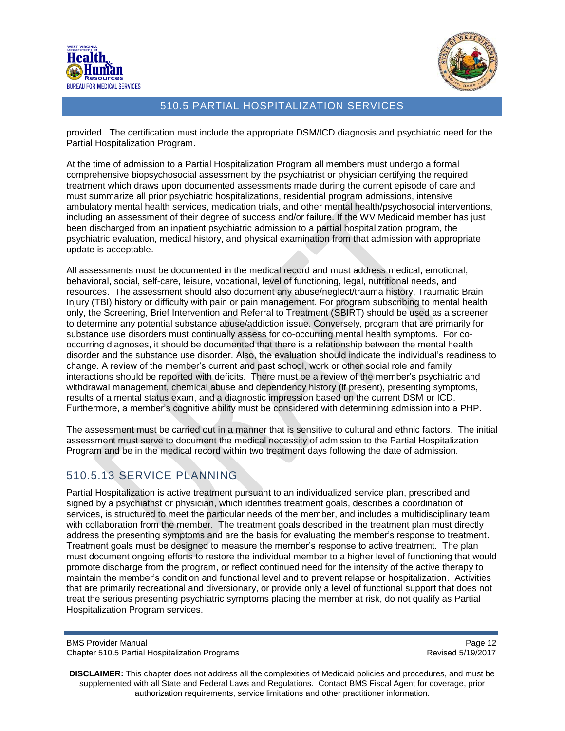



provided. The certification must include the appropriate DSM/ICD diagnosis and psychiatric need for the Partial Hospitalization Program.

At the time of admission to a Partial Hospitalization Program all members must undergo a formal comprehensive biopsychosocial assessment by the psychiatrist or physician certifying the required treatment which draws upon documented assessments made during the current episode of care and must summarize all prior psychiatric hospitalizations, residential program admissions, intensive ambulatory mental health services, medication trials, and other mental health/psychosocial interventions, including an assessment of their degree of success and/or failure. If the WV Medicaid member has just been discharged from an inpatient psychiatric admission to a partial hospitalization program, the psychiatric evaluation, medical history, and physical examination from that admission with appropriate update is acceptable.

All assessments must be documented in the medical record and must address medical, emotional, behavioral, social, self-care, leisure, vocational, level of functioning, legal, nutritional needs, and resources. The assessment should also document any abuse/neglect/trauma history, Traumatic Brain Injury (TBI) history or difficulty with pain or pain management. For program subscribing to mental health only, the Screening, Brief Intervention and Referral to Treatment (SBIRT) should be used as a screener to determine any potential substance abuse/addiction issue. Conversely, program that are primarily for substance use disorders must continually assess for co-occurring mental health symptoms. For cooccurring diagnoses, it should be documented that there is a relationship between the mental health disorder and the substance use disorder. Also, the evaluation should indicate the individual's readiness to change. A review of the member's current and past school, work or other social role and family interactions should be reported with deficits. There must be a review of the member's psychiatric and withdrawal management, chemical abuse and dependency history (if present), presenting symptoms, results of a mental status exam, and a diagnostic impression based on the current DSM or ICD. Furthermore, a member's cognitive ability must be considered with determining admission into a PHP.

The assessment must be carried out in a manner that is sensitive to cultural and ethnic factors. The initial assessment must serve to document the medical necessity of admission to the Partial Hospitalization Program and be in the medical record within two treatment days following the date of admission.

# <span id="page-11-0"></span>510.5.13 SERVICE PLANNING

Partial Hospitalization is active treatment pursuant to an individualized service plan, prescribed and signed by a psychiatrist or physician, which identifies treatment goals, describes a coordination of services, is structured to meet the particular needs of the member, and includes a multidisciplinary team with collaboration from the member. The treatment goals described in the treatment plan must directly address the presenting symptoms and are the basis for evaluating the member's response to treatment. Treatment goals must be designed to measure the member's response to active treatment. The plan must document ongoing efforts to restore the individual member to a higher level of functioning that would promote discharge from the program, or reflect continued need for the intensity of the active therapy to maintain the member's condition and functional level and to prevent relapse or hospitalization. Activities that are primarily recreational and diversionary, or provide only a level of functional support that does not treat the serious presenting psychiatric symptoms placing the member at risk, do not qualify as Partial Hospitalization Program services.

BMS Provider Manual **Page 12** and the extent of the extent of the extent of the extent of the extent of the extent of the extent of the extent of the extent of the extent of the extent of the extent of the extent of the ex Chapter 510.5 Partial Hospitalization Programs **Revised 5/19/2017** Revised 5/19/2017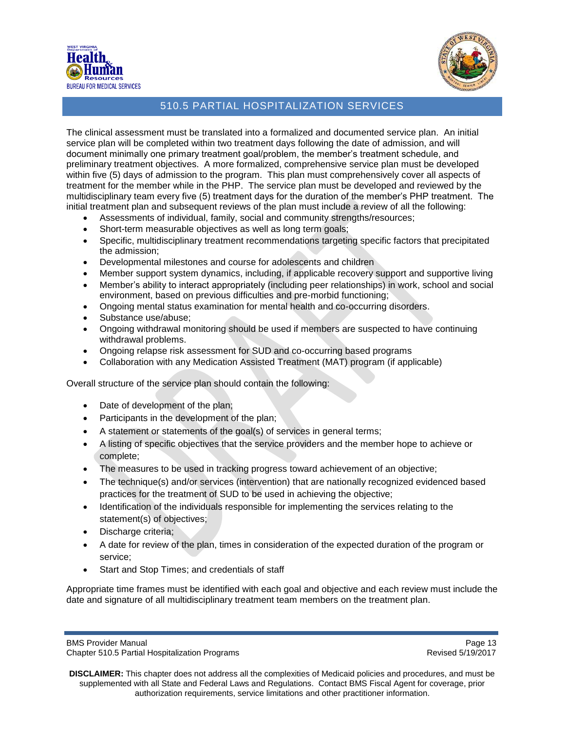



The clinical assessment must be translated into a formalized and documented service plan. An initial service plan will be completed within two treatment days following the date of admission, and will document minimally one primary treatment goal/problem, the member's treatment schedule, and preliminary treatment objectives. A more formalized, comprehensive service plan must be developed within five (5) days of admission to the program. This plan must comprehensively cover all aspects of treatment for the member while in the PHP. The service plan must be developed and reviewed by the multidisciplinary team every five (5) treatment days for the duration of the member's PHP treatment. The initial treatment plan and subsequent reviews of the plan must include a review of all the following:

- Assessments of individual, family, social and community strengths/resources;
- Short-term measurable objectives as well as long term goals;
- Specific, multidisciplinary treatment recommendations targeting specific factors that precipitated the admission;
- Developmental milestones and course for adolescents and children
- Member support system dynamics, including, if applicable recovery support and supportive living
- Member's ability to interact appropriately (including peer relationships) in work, school and social environment, based on previous difficulties and pre-morbid functioning;
- Ongoing mental status examination for mental health and co-occurring disorders.
- Substance use/abuse;
- Ongoing withdrawal monitoring should be used if members are suspected to have continuing withdrawal problems.
- Ongoing relapse risk assessment for SUD and co-occurring based programs
- Collaboration with any Medication Assisted Treatment (MAT) program (if applicable)

Overall structure of the service plan should contain the following:

- Date of development of the plan;
- Participants in the development of the plan;
- A statement or statements of the goal(s) of services in general terms;
- A listing of specific objectives that the service providers and the member hope to achieve or complete;
- The measures to be used in tracking progress toward achievement of an objective;
- The technique(s) and/or services (intervention) that are nationally recognized evidenced based practices for the treatment of SUD to be used in achieving the objective;
- Identification of the individuals responsible for implementing the services relating to the statement(s) of objectives;
- Discharge criteria;
- A date for review of the plan, times in consideration of the expected duration of the program or service;
- Start and Stop Times; and credentials of staff

Appropriate time frames must be identified with each goal and objective and each review must include the date and signature of all multidisciplinary treatment team members on the treatment plan.

**DISCLAIMER:** This chapter does not address all the complexities of Medicaid policies and procedures, and must be supplemented with all State and Federal Laws and Regulations. Contact BMS Fiscal Agent for coverage, prior authorization requirements, service limitations and other practitioner information.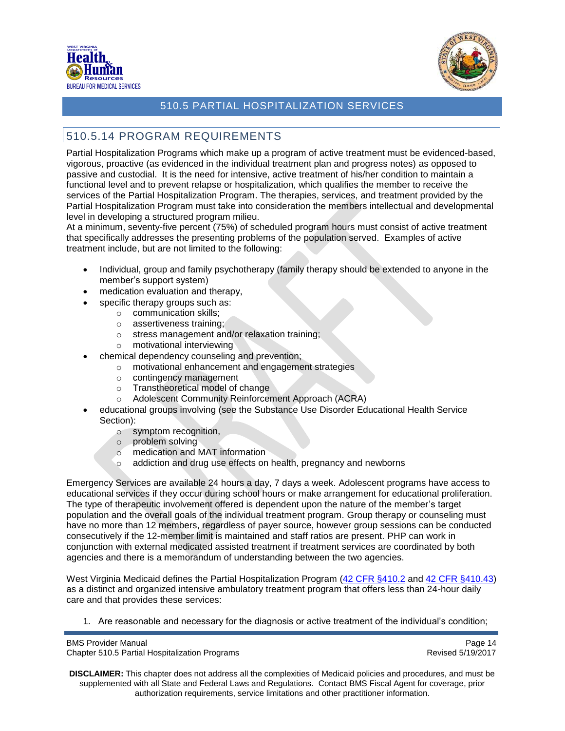



# <span id="page-13-0"></span>510.5.14 PROGRAM REQUIREMENTS

Partial Hospitalization Programs which make up a program of active treatment must be evidenced-based, vigorous, proactive (as evidenced in the individual treatment plan and progress notes) as opposed to passive and custodial. It is the need for intensive, active treatment of his/her condition to maintain a functional level and to prevent relapse or hospitalization, which qualifies the member to receive the services of the Partial Hospitalization Program. The therapies, services, and treatment provided by the Partial Hospitalization Program must take into consideration the members intellectual and developmental level in developing a structured program milieu.

At a minimum, seventy-five percent (75%) of scheduled program hours must consist of active treatment that specifically addresses the presenting problems of the population served. Examples of active treatment include, but are not limited to the following:

- Individual, group and family psychotherapy (family therapy should be extended to anyone in the member's support system)
- medication evaluation and therapy,
- specific therapy groups such as:
	- o communication skills;
		- o assertiveness training;
		- o stress management and/or relaxation training;
		- o motivational interviewing
- chemical dependency counseling and prevention;
	- o motivational enhancement and engagement strategies
	- o contingency management
	- o Transtheoretical model of change
	- o Adolescent Community Reinforcement Approach (ACRA)
- educational groups involving (see the Substance Use Disorder Educational Health Service Section):
	- o symptom recognition,
	- o problem solving
	- o medication and MAT information
	- o addiction and drug use effects on health, pregnancy and newborns

Emergency Services are available 24 hours a day, 7 days a week. Adolescent programs have access to educational services if they occur during school hours or make arrangement for educational proliferation. The type of therapeutic involvement offered is dependent upon the nature of the member's target population and the overall goals of the individual treatment program. Group therapy or counseling must have no more than 12 members, regardless of payer source, however group sessions can be conducted consecutively if the 12-member limit is maintained and staff ratios are present. PHP can work in conjunction with external medicated assisted treatment if treatment services are coordinated by both agencies and there is a memorandum of understanding between the two agencies.

West Virginia Medicaid defines the Partial Hospitalization Program [\(42 CFR §410.2](http://www.gpo.gov/fdsys/pkg/CFR-2004-title42-vol2/xml/CFR-2004-title42-vol2-sec410-2.xml) and [42 CFR §410.43\)](http://www.gpo.gov/fdsys/pkg/CFR-2004-title42-vol2/xml/CFR-2004-title42-vol2-sec410-43.xml) as a distinct and organized intensive ambulatory treatment program that offers less than 24-hour daily care and that provides these services:

1. Are reasonable and necessary for the diagnosis or active treatment of the individual's condition;

BMS Provider Manual **Page 14** and the page 14 and the page 14 and the page 14 and the page 14 and the page 14 and the page 14 and the page 14 and the page 14 and the page 14 and the page 14 and the page 14 and the page 14 Chapter 510.5 Partial Hospitalization Programs **Revised 5/19/2017** Revised 5/19/2017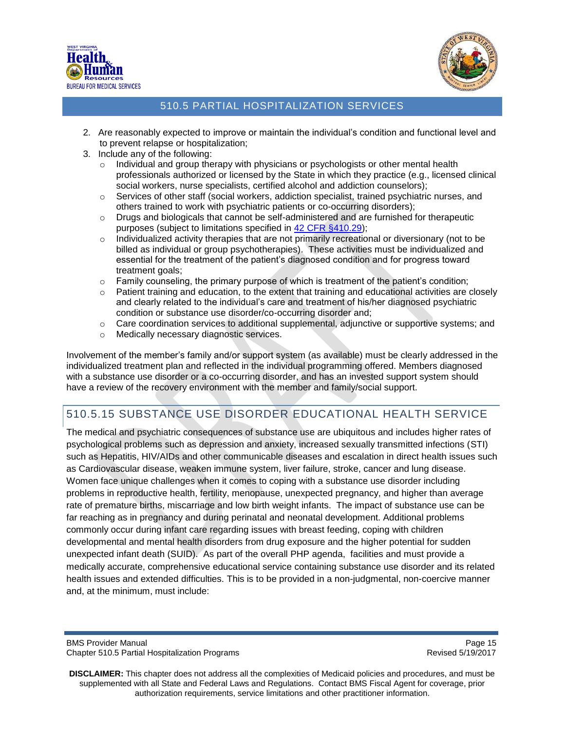



- 2. Are reasonably expected to improve or maintain the individual's condition and functional level and to prevent relapse or hospitalization;
- 3. Include any of the following:
	- $\circ$  Individual and group therapy with physicians or psychologists or other mental health professionals authorized or licensed by the State in which they practice (e.g., licensed clinical social workers, nurse specialists, certified alcohol and addiction counselors);
	- $\circ$  Services of other staff (social workers, addiction specialist, trained psychiatric nurses, and others trained to work with psychiatric patients or co-occurring disorders);
	- o Drugs and biologicals that cannot be self-administered and are furnished for therapeutic purposes (subject to limitations specified in [42 CFR §410.29\)](http://www.gpo.gov/fdsys/granule/CFR-2010-title42-vol2/CFR-2010-title42-vol2-sec410-29);
	- $\circ$  Individualized activity therapies that are not primarily recreational or diversionary (not to be billed as individual or group psychotherapies). These activities must be individualized and essential for the treatment of the patient's diagnosed condition and for progress toward treatment goals;
	- $\circ$  Family counseling, the primary purpose of which is treatment of the patient's condition;
	- $\circ$  Patient training and education, to the extent that training and educational activities are closely and clearly related to the individual's care and treatment of his/her diagnosed psychiatric condition or substance use disorder/co-occurring disorder and;
	- $\circ$  Care coordination services to additional supplemental, adjunctive or supportive systems; and
	- o Medically necessary diagnostic services.

Involvement of the member's family and/or support system (as available) must be clearly addressed in the individualized treatment plan and reflected in the individual programming offered. Members diagnosed with a substance use disorder or a co-occurring disorder, and has an invested support system should have a review of the recovery environment with the member and family/social support.

# 510.5.15 SUBSTANCE USE DISORDER EDUCATIONAL HEALTH SERVICE

The medical and psychiatric consequences of substance use are ubiquitous and includes higher rates of psychological problems such as depression and anxiety, increased sexually transmitted infections (STI) such as Hepatitis, HIV/AIDs and other communicable diseases and escalation in direct health issues such as Cardiovascular disease, weaken immune system, liver failure, stroke, cancer and lung disease. Women face unique challenges when it comes to coping with a substance use disorder including problems in reproductive health, fertility, menopause, unexpected pregnancy, and higher than average rate of premature births, miscarriage and low birth weight infants. The impact of substance use can be far reaching as in pregnancy and during perinatal and neonatal development. Additional problems commonly occur during infant care regarding issues with breast feeding, coping with children developmental and mental health disorders from drug exposure and the higher potential for sudden unexpected infant death (SUID). As part of the overall PHP agenda, facilities and must provide a medically accurate, comprehensive educational service containing substance use disorder and its related health issues and extended difficulties. This is to be provided in a non-judgmental, non-coercive manner and, at the minimum, must include: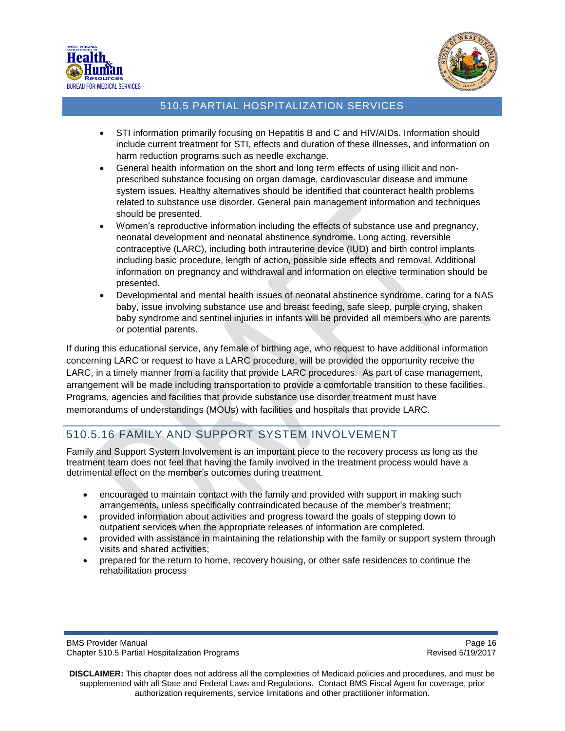



- STI information primarily focusing on Hepatitis B and C and HIV/AIDs. Information should include current treatment for STI, effects and duration of these illnesses, and information on harm reduction programs such as needle exchange.
- General health information on the short and long term effects of using illicit and nonprescribed substance focusing on organ damage, cardiovascular disease and immune system issues. Healthy alternatives should be identified that counteract health problems related to substance use disorder. General pain management information and techniques should be presented.
- Women's reproductive information including the effects of substance use and pregnancy, neonatal development and neonatal abstinence syndrome. Long acting, reversible contraceptive (LARC), including both intrauterine device (IUD) and birth control implants including basic procedure, length of action, possible side effects and removal. Additional information on pregnancy and withdrawal and information on elective termination should be presented.
- Developmental and mental health issues of neonatal abstinence syndrome, caring for a NAS baby, issue involving substance use and breast feeding, safe sleep, purple crying, shaken baby syndrome and sentinel injuries in infants will be provided all members who are parents or potential parents.

If during this educational service, any female of birthing age, who request to have additional information concerning LARC or request to have a LARC procedure, will be provided the opportunity receive the LARC, in a timely manner from a facility that provide LARC procedures. As part of case management, arrangement will be made including transportation to provide a comfortable transition to these facilities. Programs, agencies and facilities that provide substance use disorder treatment must have memorandums of understandings (MOUs) with facilities and hospitals that provide LARC.

# 510.5.16 FAMILY AND SUPPORT SYSTEM INVOLVEMENT

Family and Support System Involvement is an important piece to the recovery process as long as the treatment team does not feel that having the family involved in the treatment process would have a detrimental effect on the member's outcomes during treatment.

- encouraged to maintain contact with the family and provided with support in making such arrangements, unless specifically contraindicated because of the member's treatment;
- provided information about activities and progress toward the goals of stepping down to outpatient services when the appropriate releases of information are completed.
- provided with assistance in maintaining the relationship with the family or support system through visits and shared activities;
- prepared for the return to home, recovery housing, or other safe residences to continue the rehabilitation process

BMS Provider Manual **Page 16** and the extent of the extent of the extent of the extent of the extent of the extent of the extent of the extent of the extent of the extent of the extent of the extent of the extent of the ex Chapter 510.5 Partial Hospitalization Programs **Revised 5/19/2017** Revised 5/19/2017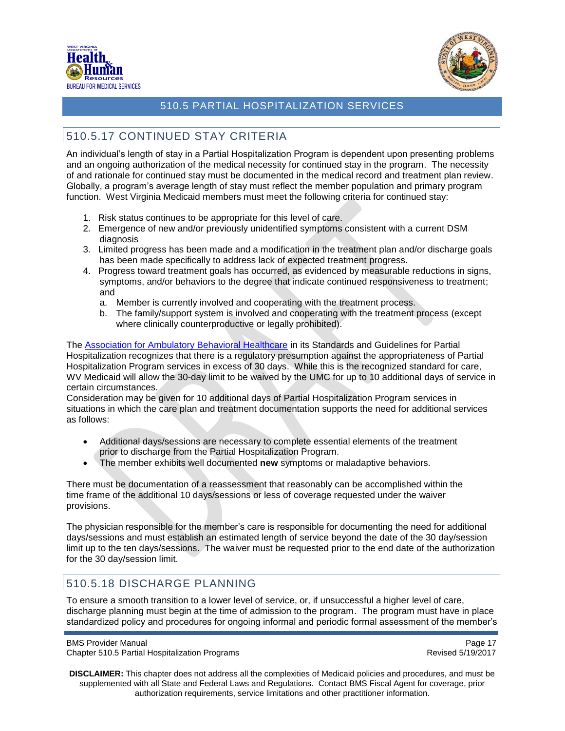



# <span id="page-16-0"></span>510.5.17 CONTINUED STAY CRITERIA

An individual's length of stay in a Partial Hospitalization Program is dependent upon presenting problems and an ongoing authorization of the medical necessity for continued stay in the program. The necessity of and rationale for continued stay must be documented in the medical record and treatment plan review. Globally, a program's average length of stay must reflect the member population and primary program function. West Virginia Medicaid members must meet the following criteria for continued stay:

- 1. Risk status continues to be appropriate for this level of care.
- 2. Emergence of new and/or previously unidentified symptoms consistent with a current DSM diagnosis
- 3. Limited progress has been made and a modification in the treatment plan and/or discharge goals has been made specifically to address lack of expected treatment progress.
- 4. Progress toward treatment goals has occurred, as evidenced by measurable reductions in signs, symptoms, and/or behaviors to the degree that indicate continued responsiveness to treatment; and
	- a. Member is currently involved and cooperating with the treatment process.
	- b. The family/support system is involved and cooperating with the treatment process (except where clinically counterproductive or legally prohibited).

The [Association for Ambulatory Behavioral Healthcare](http://www.aabh.org/#!partial-hospitalization-progra/c21kz) in its Standards and Guidelines for Partial Hospitalization recognizes that there is a regulatory presumption against the appropriateness of Partial Hospitalization Program services in excess of 30 days. While this is the recognized standard for care, WV Medicaid will allow the 30-day limit to be waived by the UMC for up to 10 additional days of service in certain circumstances.

Consideration may be given for 10 additional days of Partial Hospitalization Program services in situations in which the care plan and treatment documentation supports the need for additional services as follows:

- Additional days/sessions are necessary to complete essential elements of the treatment prior to discharge from the Partial Hospitalization Program.
- The member exhibits well documented **new** symptoms or maladaptive behaviors.

There must be documentation of a reassessment that reasonably can be accomplished within the time frame of the additional 10 days/sessions or less of coverage requested under the waiver provisions.

The physician responsible for the member's care is responsible for documenting the need for additional days/sessions and must establish an estimated length of service beyond the date of the 30 day/session limit up to the ten days/sessions. The waiver must be requested prior to the end date of the authorization for the 30 day/session limit.

# <span id="page-16-1"></span>510.5.18 DISCHARGE PLANNING

To ensure a smooth transition to a lower level of service, or, if unsuccessful a higher level of care, discharge planning must begin at the time of admission to the program. The program must have in place standardized policy and procedures for ongoing informal and periodic formal assessment of the member's

BMS Provider Manual **Page 17** No. 2012 12:30 No. 2013 12:30 No. 2014 12:30 No. 2014 12:30 No. 2014 12:30 No. 2014 12:30 No. 2014 12:30 No. 2014 12:30 No. 2014 12:30 No. 2014 12:30 No. 2014 12:30 No. 2014 12:30 No. 2014 12: Chapter 510.5 Partial Hospitalization Programs **Revised 5/19/2017** Revised 5/19/2017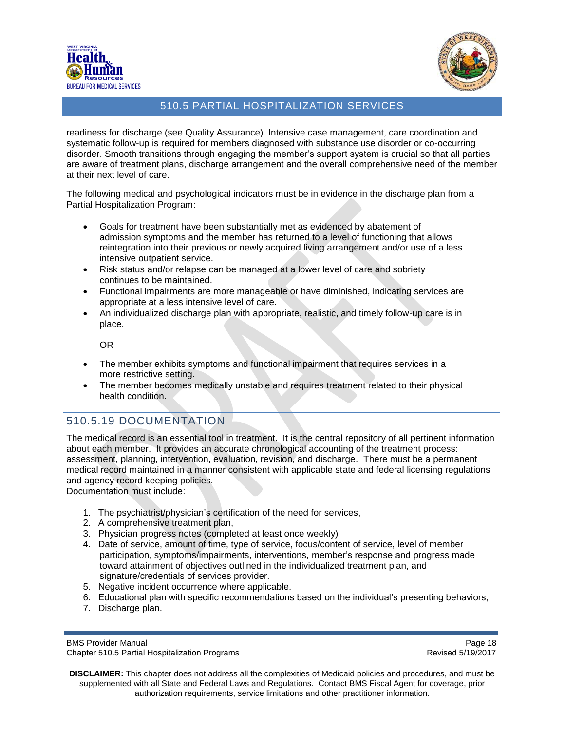



readiness for discharge (see Quality Assurance). Intensive case management, care coordination and systematic follow-up is required for members diagnosed with substance use disorder or co-occurring disorder. Smooth transitions through engaging the member's support system is crucial so that all parties are aware of treatment plans, discharge arrangement and the overall comprehensive need of the member at their next level of care.

The following medical and psychological indicators must be in evidence in the discharge plan from a Partial Hospitalization Program:

- Goals for treatment have been substantially met as evidenced by abatement of admission symptoms and the member has returned to a level of functioning that allows reintegration into their previous or newly acquired living arrangement and/or use of a less intensive outpatient service.
- Risk status and/or relapse can be managed at a lower level of care and sobriety continues to be maintained.
- Functional impairments are more manageable or have diminished, indicating services are appropriate at a less intensive level of care.
- An individualized discharge plan with appropriate, realistic, and timely follow-up care is in place.

OR

- The member exhibits symptoms and functional impairment that requires services in a more restrictive setting.
- The member becomes medically unstable and requires treatment related to their physical health condition.

# <span id="page-17-0"></span>510.5.19 DOCUMENTATION

The medical record is an essential tool in treatment. It is the central repository of all pertinent information about each member. It provides an accurate chronological accounting of the treatment process: assessment, planning, intervention, evaluation, revision, and discharge. There must be a permanent medical record maintained in a manner consistent with applicable state and federal licensing regulations and agency record keeping policies.

Documentation must include:

- 1. The psychiatrist/physician's certification of the need for services,
- 2. A comprehensive treatment plan,
- 3. Physician progress notes (completed at least once weekly)
- 4. Date of service, amount of time, type of service, focus/content of service, level of member participation, symptoms/impairments, interventions, member's response and progress made toward attainment of objectives outlined in the individualized treatment plan, and signature/credentials of services provider.
- 5. Negative incident occurrence where applicable.
- 6. Educational plan with specific recommendations based on the individual's presenting behaviors,
- 7. Discharge plan.

BMS Provider Manual **Page 18** Chapter 510.5 Partial Hospitalization Programs **Revised 5/19/2017** Revised 5/19/2017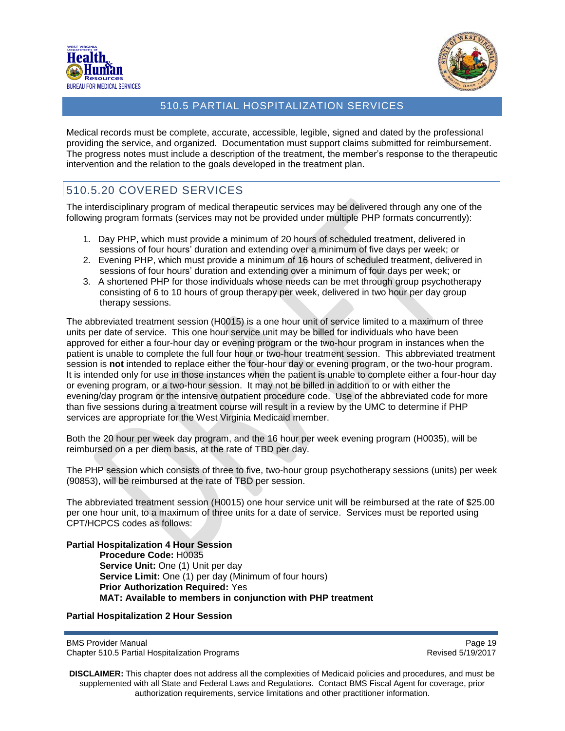



Medical records must be complete, accurate, accessible, legible, signed and dated by the professional providing the service, and organized. Documentation must support claims submitted for reimbursement. The progress notes must include a description of the treatment, the member's response to the therapeutic intervention and the relation to the goals developed in the treatment plan.

# <span id="page-18-0"></span>510.5.20 COVERED SERVICES

The interdisciplinary program of medical therapeutic services may be delivered through any one of the following program formats (services may not be provided under multiple PHP formats concurrently):

- 1. Day PHP, which must provide a minimum of 20 hours of scheduled treatment, delivered in sessions of four hours' duration and extending over a minimum of five days per week; or
- 2. Evening PHP, which must provide a minimum of 16 hours of scheduled treatment, delivered in sessions of four hours' duration and extending over a minimum of four days per week; or
- 3. A shortened PHP for those individuals whose needs can be met through group psychotherapy consisting of 6 to 10 hours of group therapy per week, delivered in two hour per day group therapy sessions.

The abbreviated treatment session (H0015) is a one hour unit of service limited to a maximum of three units per date of service. This one hour service unit may be billed for individuals who have been approved for either a four-hour day or evening program or the two-hour program in instances when the patient is unable to complete the full four hour or two-hour treatment session. This abbreviated treatment session is **not** intended to replace either the four-hour day or evening program, or the two-hour program. It is intended only for use in those instances when the patient is unable to complete either a four-hour day or evening program, or a two-hour session. It may not be billed in addition to or with either the evening/day program or the intensive outpatient procedure code. Use of the abbreviated code for more than five sessions during a treatment course will result in a review by the UMC to determine if PHP services are appropriate for the West Virginia Medicaid member.

Both the 20 hour per week day program, and the 16 hour per week evening program (H0035), will be reimbursed on a per diem basis, at the rate of TBD per day.

The PHP session which consists of three to five, two-hour group psychotherapy sessions (units) per week (90853), will be reimbursed at the rate of TBD per session.

The abbreviated treatment session (H0015) one hour service unit will be reimbursed at the rate of \$25.00 per one hour unit, to a maximum of three units for a date of service. Services must be reported using CPT/HCPCS codes as follows:

**Partial Hospitalization 4 Hour Session Procedure Code:** H0035 **Service Unit:** One (1) Unit per day **Service Limit:** One (1) per day (Minimum of four hours) **Prior Authorization Required:** Yes **MAT: Available to members in conjunction with PHP treatment**

#### **Partial Hospitalization 2 Hour Session**

BMS Provider Manual **Page 19** No. 2012 12:30 No. 2012 12:30 No. 2012 12:30 No. 2012 12:30 No. 2012 12:30 No. 2013 Chapter 510.5 Partial Hospitalization Programs **Revised 5/19/2017** Revised 5/19/2017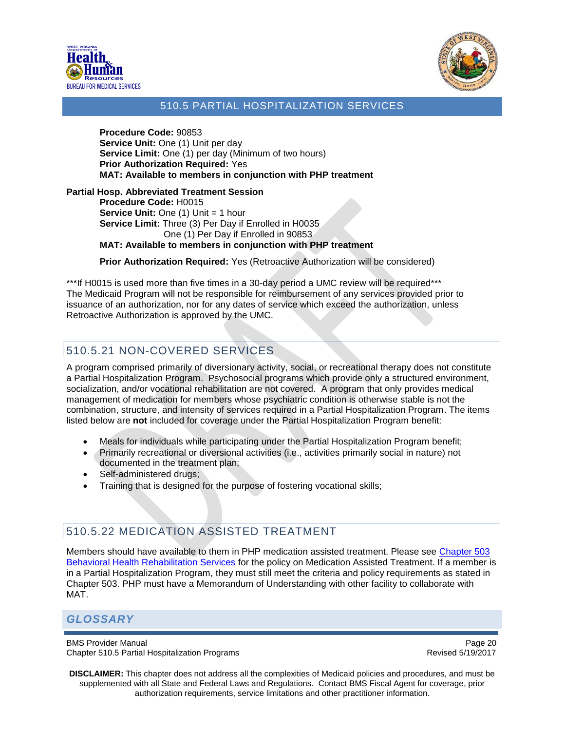



**Procedure Code:** 90853 **Service Unit:** One (1) Unit per day **Service Limit:** One (1) per day (Minimum of two hours) **Prior Authorization Required:** Yes **MAT: Available to members in conjunction with PHP treatment**

#### **Partial Hosp. Abbreviated Treatment Session**

**Procedure Code:** H0015 **Service Unit: One (1) Unit = 1 hour Service Limit:** Three (3) Per Day if Enrolled in H0035 One (1) Per Day if Enrolled in 90853

**MAT: Available to members in conjunction with PHP treatment**

**Prior Authorization Required:** Yes (Retroactive Authorization will be considered)

\*\*\*If H0015 is used more than five times in a 30-day period a UMC review will be required\*\*\* The Medicaid Program will not be responsible for reimbursement of any services provided prior to issuance of an authorization, nor for any dates of service which exceed the authorization, unless Retroactive Authorization is approved by the UMC.

# <span id="page-19-0"></span>510.5.21 NON-COVERED SERVICES

A program comprised primarily of diversionary activity, social, or recreational therapy does not constitute a Partial Hospitalization Program. Psychosocial programs which provide only a structured environment, socialization, and/or vocational rehabilitation are not covered. A program that only provides medical management of medication for members whose psychiatric condition is otherwise stable is not the combination, structure, and intensity of services required in a Partial Hospitalization Program. The items listed below are **not** included for coverage under the Partial Hospitalization Program benefit:

- Meals for individuals while participating under the Partial Hospitalization Program benefit;
- Primarily recreational or diversional activities (i.e., activities primarily social in nature) not documented in the treatment plan;
- Self-administered drugs;
- Training that is designed for the purpose of fostering vocational skills;

# 510.5.22 MEDICATION ASSISTED TREATMENT

Members should have available to them in PHP medication assisted treatment. Please see [Chapter 503](http://www.dhhr.wv.gov/bms/Pages/Chapter-503-Behavioral-Health-Rehabilitation.aspx)  [Behavioral Health Rehabilitation Services](http://www.dhhr.wv.gov/bms/Pages/Chapter-503-Behavioral-Health-Rehabilitation.aspx) for the policy on Medication Assisted Treatment. If a member is in a Partial Hospitalization Program, they must still meet the criteria and policy requirements as stated in Chapter 503. PHP must have a Memorandum of Understanding with other facility to collaborate with MAT.

#### <span id="page-19-1"></span>*GLOSSARY*

BMS Provider Manual **Page 20 Page 20** Chapter 510.5 Partial Hospitalization Programs **Revised 5/19/2017** Revised 5/19/2017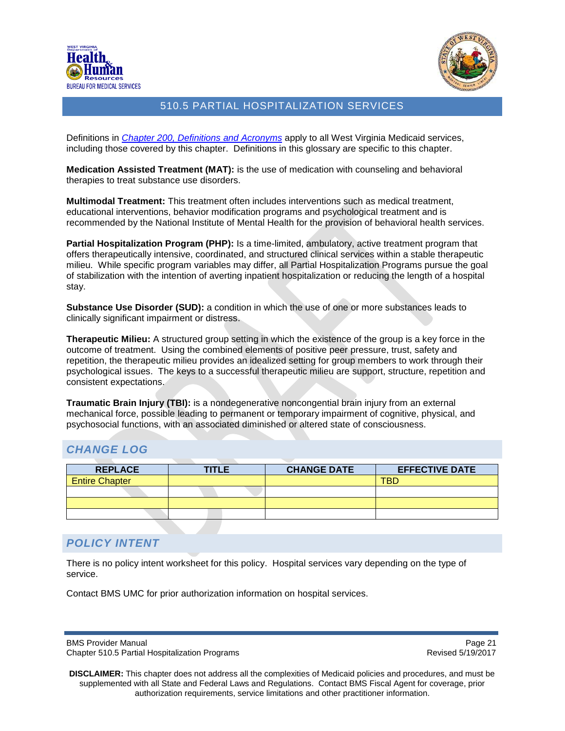



Definitions in *[Chapter 200, Definitions and](http://www.dhhr.wv.gov/bms/Pages/ProviderManuals.aspx) Acronyms* apply to all West Virginia Medicaid services, including those covered by this chapter. Definitions in this glossary are specific to this chapter.

**Medication Assisted Treatment (MAT):** is the use of medication with counseling and behavioral therapies to treat substance use disorders.

**Multimodal Treatment:** This treatment often includes interventions such as medical treatment, educational interventions, behavior modification programs and psychological treatment and is recommended by the National Institute of Mental Health for the provision of behavioral health services.

**Partial Hospitalization Program (PHP):** Is a time-limited, ambulatory, active treatment program that offers therapeutically intensive, coordinated, and structured clinical services within a stable therapeutic milieu. While specific program variables may differ, all Partial Hospitalization Programs pursue the goal of stabilization with the intention of averting inpatient hospitalization or reducing the length of a hospital stay.

**Substance Use Disorder (SUD):** a condition in which the use of one or more substances leads to clinically significant impairment or distress.

**Therapeutic Milieu:** A structured group setting in which the existence of the group is a key force in the outcome of treatment. Using the combined elements of positive peer pressure, trust, safety and repetition, the therapeutic milieu provides an idealized setting for group members to work through their psychological issues. The keys to a successful therapeutic milieu are support, structure, repetition and consistent expectations.

**Traumatic Brain Injury (TBI):** is a nondegenerative noncongential brain injury from an external mechanical force, possible leading to permanent or temporary impairment of cognitive, physical, and psychosocial functions, with an associated diminished or altered state of consciousness.

# <span id="page-20-0"></span>*CHANGE LOG*

| <b>REPLACE</b>        | <b>TITLE</b> | <b>CHANGE DATE</b> | <b>EFFECTIVE DATE</b> |
|-----------------------|--------------|--------------------|-----------------------|
| <b>Entire Chapter</b> |              |                    | <b>TBD</b>            |
|                       |              |                    |                       |
|                       |              |                    |                       |
|                       |              |                    |                       |

# *POLICY INTENT*

There is no policy intent worksheet for this policy. Hospital services vary depending on the type of service.

Contact BMS UMC for prior authorization information on hospital services.

BMS Provider Manual **Page 21 Page 21** Chapter 510.5 Partial Hospitalization Programs **Revised 5/19/2017** Revised 5/19/2017